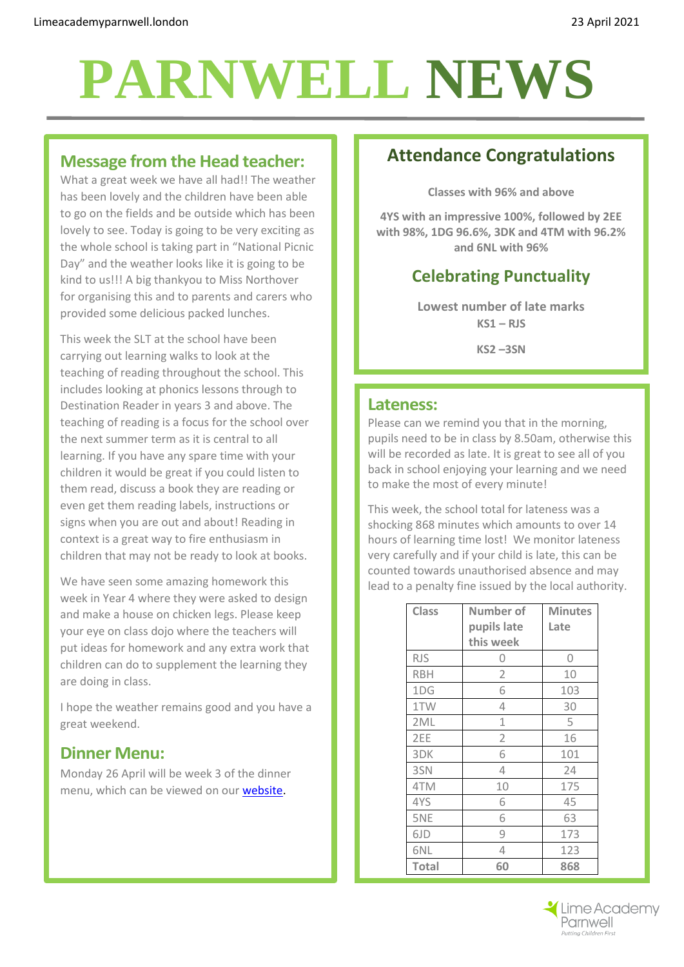# **PARNWELL NEWS**

#### **Message from the Head teacher:**

What a great week we have all had!! The weather has been lovely and the children have been able to go on the fields and be outside which has been lovely to see. Today is going to be very exciting as the whole school is taking part in "National Picnic Day" and the weather looks like it is going to be kind to us!!! A big thankyou to Miss Northover for organising this and to parents and carers who provided some delicious packed lunches.

This week the SLT at the school have been carrying out learning walks to look at the teaching of reading throughout the school. This includes looking at phonics lessons through to Destination Reader in years 3 and above. The teaching of reading is a focus for the school over the next summer term as it is central to all learning. If you have any spare time with your children it would be great if you could listen to them read, discuss a book they are reading or even get them reading labels, instructions or signs when you are out and about! Reading in context is a great way to fire enthusiasm in children that may not be ready to look at books.

We have seen some amazing homework this week in Year 4 where they were asked to design and make a house on chicken legs. Please keep your eye on class dojo where the teachers will put ideas for homework and any extra work that children can do to supplement the learning they are doing in class.

I hope the weather remains good and you have a great weekend.

### **Dinner Menu:**

Monday 26 April will be week 3 of the dinner menu, which can be viewed on our [website.](http://limeacademyparnwell.london/media/1997/dinner-menu-2.pdf)

# **Attendance Congratulations**

**Classes with 96% and above**

**4YS with an impressive 100%, followed by 2EE with 98%, 1DG 96.6%, 3DK and 4TM with 96.2% and 6NL with 96%**

# **Celebrating Punctuality**

**Lowest number of late marks KS1 – RJS KS2 –3SN**

#### **Lateness:**

Please can we remind you that in the morning, pupils need to be in class by 8.50am, otherwise this will be recorded as late. It is great to see all of you back in school enjoying your learning and we need to make the most of every minute!

This week, the school total for lateness was a shocking 868 minutes which amounts to over 14 hours of learning time lost! We monitor lateness very carefully and if your child is late, this can be counted towards unauthorised absence and may lead to a penalty fine issued by the local authority.

| <b>Class</b> | Number of      | <b>Minutes</b> |
|--------------|----------------|----------------|
|              | pupils late    | Late           |
|              | this week      |                |
| <b>RJS</b>   | 0              | 0              |
| <b>RBH</b>   | 2              | 10             |
| 1DG          | 6              | 103            |
| 1TW          | 4              | 30             |
| 2ML          | 1              | 5              |
| 2EE          | $\overline{2}$ | 16             |
| 3DK          | 6              | 101            |
| 3SN          | 4              | 24             |
| 4TM          | 10             | 175            |
| 4YS          | 6              | 45             |
| 5NE          | 6              | 63             |
| 6JD          | 9              | 173            |
| 6NL          | 4              | 123            |
| <b>Total</b> | 60             | 868            |